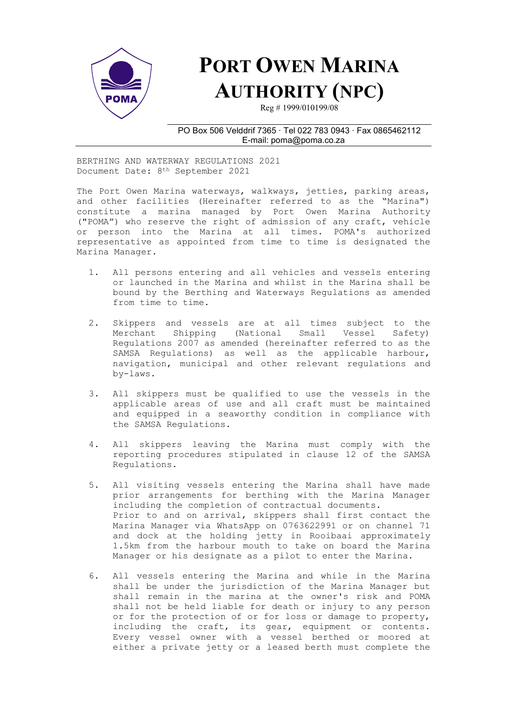

## PORT OWEN MARINA AUTHORITY (NPC)

Reg # 1999/010199/08

## PO Box 506 Velddrif 7365 ∙ Tel 022 783 0943 ∙ Fax 0865462112 E-mail: poma@poma.co.za

BERTHING AND WATERWAY REGULATIONS 2021 Document Date: 8th September 2021

The Port Owen Marina waterways, walkways, jetties, parking areas, and other facilities (Hereinafter referred to as the "Marina") constitute a marina managed by Port Owen Marina Authority ("POMA") who reserve the right of admission of any craft, vehicle or person into the Marina at all times. POMA's authorized representative as appointed from time to time is designated the Marina Manager.

- 1. All persons entering and all vehicles and vessels entering or launched in the Marina and whilst in the Marina shall be bound by the Berthing and Waterways Regulations as amended from time to time.
- 2. Skippers and vessels are at all times subject to the Merchant Shipping (National Small Vessel Safety) Regulations 2007 as amended (hereinafter referred to as the SAMSA Regulations) as well as the applicable harbour, navigation, municipal and other relevant regulations and by-laws.
- 3. All skippers must be qualified to use the vessels in the applicable areas of use and all craft must be maintained and equipped in a seaworthy condition in compliance with the SAMSA Regulations.
- 4. All skippers leaving the Marina must comply with the reporting procedures stipulated in clause 12 of the SAMSA Regulations.
- 5. All visiting vessels entering the Marina shall have made prior arrangements for berthing with the Marina Manager including the completion of contractual documents. Prior to and on arrival, skippers shall first contact the Marina Manager via WhatsApp on 0763622991 or on channel 71 and dock at the holding jetty in Rooibaai approximately 1.5km from the harbour mouth to take on board the Marina Manager or his designate as a pilot to enter the Marina.
- 6. All vessels entering the Marina and while in the Marina shall be under the jurisdiction of the Marina Manager but shall remain in the marina at the owner's risk and POMA shall not be held liable for death or injury to any person or for the protection of or for loss or damage to property, including the craft, its gear, equipment or contents. Every vessel owner with a vessel berthed or moored at either a private jetty or a leased berth must complete the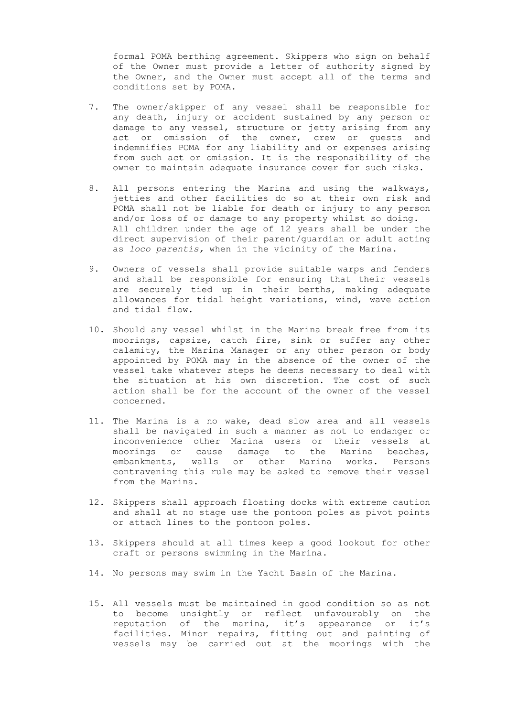formal POMA berthing agreement. Skippers who sign on behalf of the Owner must provide a letter of authority signed by the Owner, and the Owner must accept all of the terms and conditions set by POMA.

- 7. The owner/skipper of any vessel shall be responsible for any death, injury or accident sustained by any person or damage to any vessel, structure or jetty arising from any act or omission of the owner, crew or guests and indemnifies POMA for any liability and or expenses arising from such act or omission. It is the responsibility of the owner to maintain adequate insurance cover for such risks.
- 8. All persons entering the Marina and using the walkways, jetties and other facilities do so at their own risk and POMA shall not be liable for death or injury to any person and/or loss of or damage to any property whilst so doing. All children under the age of 12 years shall be under the direct supervision of their parent/guardian or adult acting as loco parentis, when in the vicinity of the Marina.
- 9. Owners of vessels shall provide suitable warps and fenders and shall be responsible for ensuring that their vessels are securely tied up in their berths, making adequate allowances for tidal height variations, wind, wave action and tidal flow.
- 10. Should any vessel whilst in the Marina break free from its moorings, capsize, catch fire, sink or suffer any other calamity, the Marina Manager or any other person or body appointed by POMA may in the absence of the owner of the vessel take whatever steps he deems necessary to deal with the situation at his own discretion. The cost of such action shall be for the account of the owner of the vessel concerned.
- 11. The Marina is a no wake, dead slow area and all vessels shall be navigated in such a manner as not to endanger or inconvenience other Marina users or their vessels at moorings or cause damage to the Marina beaches, embankments, walls or other Marina works. Persons contravening this rule may be asked to remove their vessel from the Marina.
- 12. Skippers shall approach floating docks with extreme caution and shall at no stage use the pontoon poles as pivot points or attach lines to the pontoon poles.
- 13. Skippers should at all times keep a good lookout for other craft or persons swimming in the Marina.
- 14. No persons may swim in the Yacht Basin of the Marina.
- 15. All vessels must be maintained in good condition so as not to become unsightly or reflect unfavourably on the reputation of the marina, it's appearance or it's facilities. Minor repairs, fitting out and painting of vessels may be carried out at the moorings with the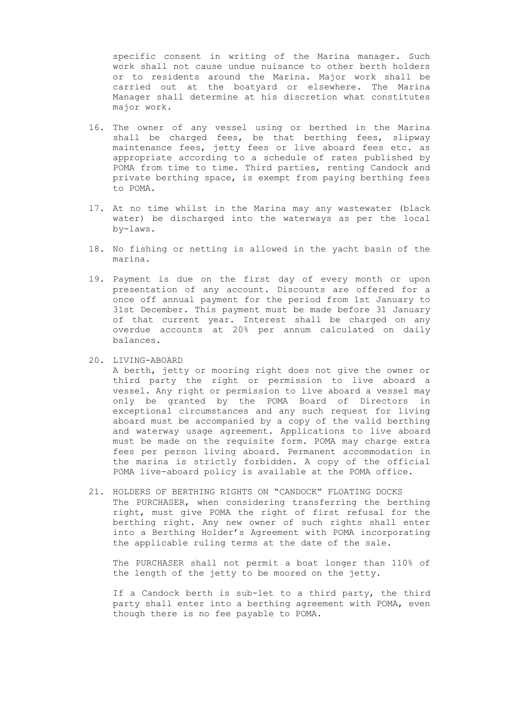specific consent in writing of the Marina manager. Such work shall not cause undue nuisance to other berth holders or to residents around the Marina. Major work shall be carried out at the boatyard or elsewhere. The Marina Manager shall determine at his discretion what constitutes major work.

- 16. The owner of any vessel using or berthed in the Marina shall be charged fees, be that berthing fees, slipway maintenance fees, jetty fees or live aboard fees etc. as appropriate according to a schedule of rates published by POMA from time to time. Third parties, renting Candock and private berthing space, is exempt from paying berthing fees to POMA.
- 17. At no time whilst in the Marina may any wastewater (black water) be discharged into the waterways as per the local by-laws.
- 18. No fishing or netting is allowed in the yacht basin of the marina.
- 19. Payment is due on the first day of every month or upon presentation of any account. Discounts are offered for a once off annual payment for the period from 1st January to 31st December. This payment must be made before 31 January of that current year. Interest shall be charged on any overdue accounts at 20% per annum calculated on daily balances.
- 20. LIVING-ABOARD

A berth, jetty or mooring right does not give the owner or third party the right or permission to live aboard a vessel. Any right or permission to live aboard a vessel may only be granted by the POMA Board of Directors in exceptional circumstances and any such request for living aboard must be accompanied by a copy of the valid berthing and waterway usage agreement. Applications to live aboard must be made on the requisite form. POMA may charge extra fees per person living aboard. Permanent accommodation in the marina is strictly forbidden. A copy of the official POMA live-aboard policy is available at the POMA office.

21. HOLDERS OF BERTHING RIGHTS ON "CANDOCK" FLOATING DOCKS The PURCHASER, when considering transferring the berthing right, must give POMA the right of first refusal for the berthing right. Any new owner of such rights shall enter into a Berthing Holder's Agreement with POMA incorporating the applicable ruling terms at the date of the sale.

The PURCHASER shall not permit a boat longer than 110% of the length of the jetty to be moored on the jetty.

If a Candock berth is sub-let to a third party, the third party shall enter into a berthing agreement with POMA, even though there is no fee payable to POMA.